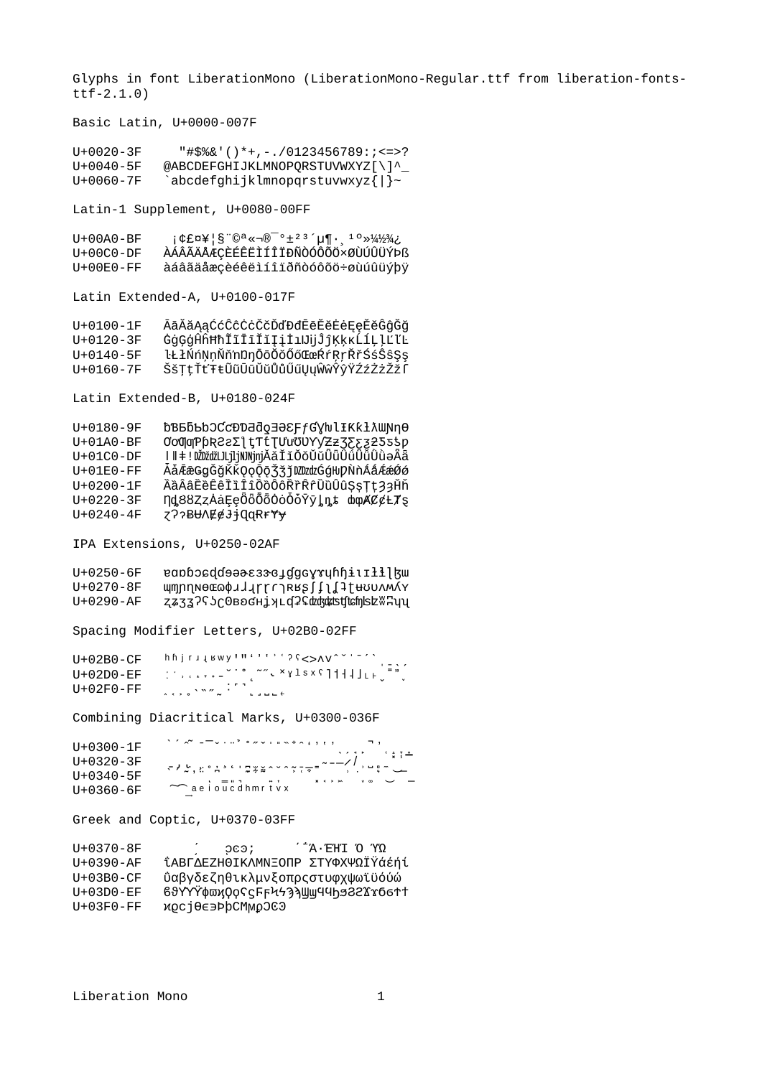Glyphs in font LiberationMono (LiberationMono-Regular.ttf from liberation-fontsttf-2.1.0)

Basic Latin, U+0000-007F

U+0020-3F "#\$%&'()\*+,-./0123456789:;<=>?  $U+0040-5F$  @ABCDEFGHIJKLMNOPQRSTUVWXYZ[\]^\_<br> $U+0060-7F$  abcdefahiiklmnonarstuvwxyz{l}~  $abcd$ efghijklmnopqrstuvwxyz{|}~

Latin-1 Supplement, U+0080-00FF

U+00A0-BF  $i \notin E \cap 4$ <sup>'</sup>  $\in \mathbb{R}$ <sup>-</sup>  $\in \mathbb{R}$ <sup>-</sup>°  $\pm$ <sup>23</sup>´ $\uparrow \mathbb{R}$ <sup>10</sup>»<sup>1</sup>/<sub>2</sub><sup>3</sup>/<sub>4</sub> U+00C0-DF ÀÁÂÃÄÄÆÇÈÉÊËÌÍÎÏĐÑÒÓÔÕÖרÙÚÛÜÝÞß<br>U+00E0-FF àáâãäåæçèéêëìíîiðñòóôõö÷øùúûüýþÿ àáâãäåæçèéêëìíîïðñòóôõö÷øùúûüýþÿ

Latin Extended-A, U+0100-017F

U+0100-1F ĀāĂ㥹ĆćĈĉĊċČčĎďĐđĒēĔĕĖėĘęĚěĜĝĞğ U+0120-3F ĠġĢģĤĥĦħĨĩĪīĬĭĮįİıIJijĴĵĶķĸĹĺĻļĽľĿ U+0140-5F ŀŁłŃńŅņŇň'nŊŋŌōŎŏŐőŒœŔŕŖŗŘřŚśŜŝŞş<br>U+0160-7F ŠšTtŤťŦŧŨũŪūŬŭŮůŰűŲyŴŵŶŷŸŹźŻżŽŹſ ŠšŢţŤťŦŧŨũŪūŬŭŮůŰűŲųŴŵŶŷŸŹźŻżŽžſ

Latin Extended-B, U+0180-024F

| $U+0180-9F$     | ႦႪᲜႦႦႦჂႠჺႦႪႫႫჿ∃ᲛႽ₣ƒႺႿႱႮŦĸĸŦŷMŊჃϴ          |
|-----------------|-------------------------------------------|
| $U+01A0-BF$     | ΟΟΦΦΡρR22Σ1tTtTUuOVYZz3252555p            |
| $U+01C0-DF$     | I∥‡!DŽDžďžLJLjljNJNjnjĂăĬĭŎŏŬŭÜüŰűŰǚŨùəÂä |
| $U+01E0-FF$     | ĀāĒæGgĞğKKQǫQŌŽžjDZDzdzGģŀIJPN`nÁáÁéæŐó   |
| $U+0200 - 1F$   | ÀàÂâËèÊêÌìÎÎôồÔôŘřŔrŨùÛûŞşŢţ33Hň          |
| $U+0220-3F$     | Ŋd88ZzAaĘęŌōŌŌŎŎŎvyļņt moAC¢Ł7s           |
| $U + 0240 - 4F$ | Z??BUAE@JiQqRrYy                          |

IPA Extensions, U+0250-02AF

U+0250-6F eapbocddoaes3scydgcyruhhiuIłlaw U+0270-8F wmnnnecco¢JJirrriRks∫∫lĺ‡twowwAY U+0290-AF zz33?S¿@вoснiyLd?¢ddsdtdtchsb&%Huy

Spacing Modifier Letters, U+02B0-02FF

| U+02B0-CF | hhjrijswy!"'''''? ? ?<>^v^`'-'`                              |
|-----------|--------------------------------------------------------------|
| U+02D0-EF | $=$ $\sqrt{ }$                                               |
| U+02F0-FF | $\lambda \leftrightarrow e^{\lambda N} \sim \lambda$ . There |

Combining Diacritical Marks, U+0300-036F

| $U+0300 - 1F$   |                         |  |
|-----------------|-------------------------|--|
| $U + 0320 - 3F$ | ╶╾╿┢╹╵╏╷<br>╶╴╸┙┈┇┑╵╷╹╷ |  |
| $U + 0340 - 5F$ |                         |  |
| U+0360-6F       | $\sim$ aeioucdhmrtvx    |  |

Greek and Coptic, U+0370-03FF

U+0370-8F (200; ΄΅Ά·ΈΉΙ Ό ΎΩ<br>U+0390-AF ΪΑΒΓΛΕΖΗΘΙΚΛΜΝΞΟΠΡ ΣΤΥΦΧΨΟΪΫά U+0390-AF ΐΑΒΓΔΕΖΗΘΙΚΛΜΝΞΟΠΡ ΣΤΥΦΧΨΩΪΫάέήί U+03B0-CF ΰαβγδεζηθικλμνξοπρςστυφχψωϊϋόύώ U+03D0-EF ϐϑϒϒϔφϖϗϘϙϚϛϜϝϞϟϠϡϢϣϤϤϦϧϨϨϪϫϬϭϮϯ<br>U+03F0-FF ϰϼϲϳϴͼ϶ϷϸϹϺϻϼϽϾϿ ϰϱϲϳϴͼ϶ϷϸϹϺϻϼϽϾϿ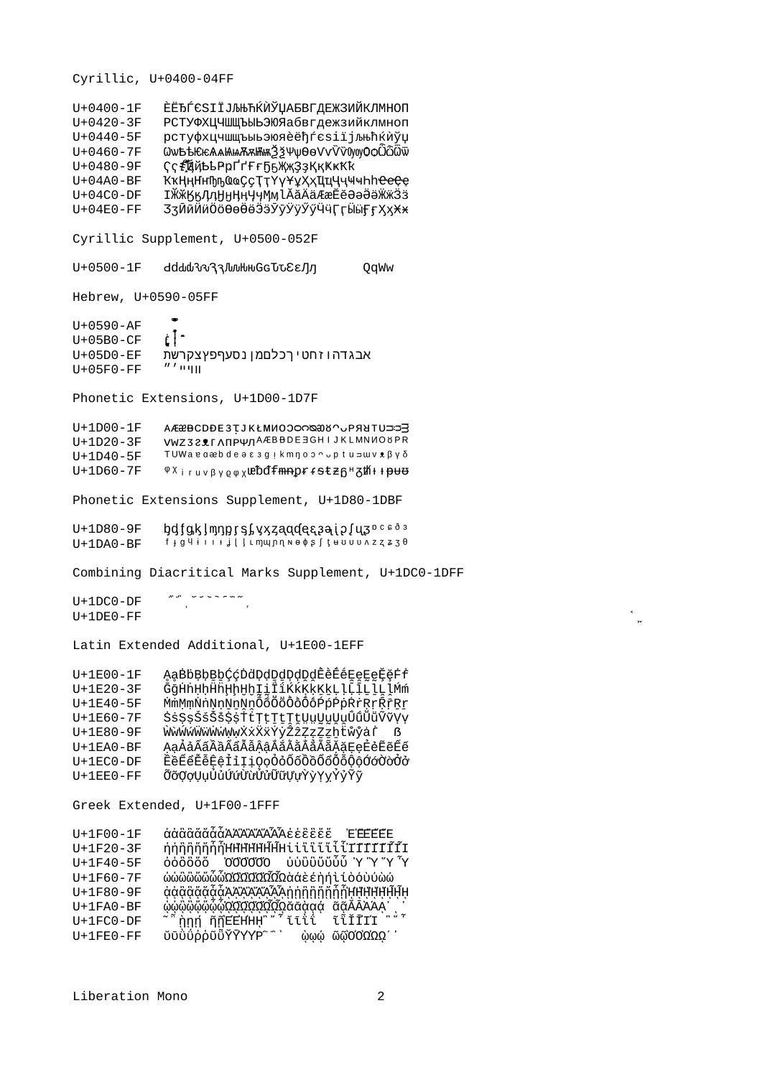$U + 0400 - 1F$ **ÈËЂЃЄЅІЇЈЉЊЋЌЍЎЦАБВГДЕЖЗИЙКЛМНОП** РСТУФХЦЧШЩЪЫЬЭЮЯабвгдежзийклмноп  $U + 0420 - 3F$  $U + 0440 - 5F$ **DCTVФХЦЧШШЪЫЬЭЮЯ̀ ВРСТУФХЦЧШШЪ** ѼѡҌѢѤѥѦѧѨѩѪѫѬѭѮѯѰѱѲѳѴѵѶѷ҇ѸѹѺѻѼѽ҇ѿ  $U + 0460 - 7F$  $U + 0480 - 9F$ Ҁҁ҂҈҃҈ҋҋҌҍҎҏҐґҒғҔҕҖҗҘҙҚқҜҝҞҟ  $U+04A0-BF$ ҠҡӉӊҤҥҦҧҨҩҪҫҬҭҮүҰұҲҳҴҵҶҷҸҹҺһҼҽҾҿ **ӀӁӂӃӄӅӆӇӈӉӊӋӌӍӎ**ӀӐӑӒӓӔӕӖӗӘәӚӛӜӝӞӟ  $U+04CO-DF$  $U+04E0-FF$ ӠӡӢӣӤӥӦӧѲѳӪӫӬӭӮӯӰӱӲӳӴӵӶӷӸӹӺӻҲҳӾӿ Cyrillic Supplement, U+0500-052F  $U+0500 - 1F$ dddd0v333,luuHuGGJJCEEJJJ QqWw Hebrew, U+0590-05FF  $\bullet$  $U+0590 - AF$  $\lfloor \cdot \rfloor$  $U+05B0$ -CF  $U+05D0$ -EF אבגדהוזחטיךכלםמןנסעףפץצקרשת  $^{\prime\prime\,\prime}$  04H  $U+05F0-FF$ Phonetic Extensions, U+1D00-1D7F  $U+1D00-1F$ VWZ321 ANPWAAEBBDE3GHIJKLMNNO8PR  $U+1D20-3F$ TUWa e aæb de a  $\varepsilon$  3 g i km n o o  $\sim$  p t u  $\Rightarrow$  w v  $\ell$   $\beta$   $\gamma$   $\delta$  $U+1D40-5F$  $U + 1D60 - 7F$ <sup>φχ</sup>iruvβyρφχ**ιεΌd fmnpr** f Stz 6<sup>H</sup> 3th + HH+ Phonetic Extensions Supplement, U+1D80-1DBF  $U+1D80-9F$ bdfgkJmnprsLyxzaadecaaipluzncs83  $U+1DA0-BF$ Combining Diacritical Marks Supplement, U+1DC0-1DFF  $\begin{array}{ccc} \mathbf{w} & \mathbf{w} & \mathbf{w} & \mathbf{w} & \mathbf{w} & \mathbf{w} & \mathbf{w} & \mathbf{w} & \mathbf{w} \end{array}$  $U+1DCO-DF$  $U+1DE0-FF$ Latin Extended Additional, U+1E00-1EFF U+1E00-1F ĄąBbBbBbCćDdDdDdDdDdĒèĒėEeEeĔĕFf U+1E20-3F ĞğHnHnHnHhHhIiİİKKKKKKLlLILlLMm  $U + 1E40 - 5F$ <u>MmMmNnNnNnNnÕõÕÕÕÕÕÕÓPpPpRrRrRrRr</u>  $U+1E60-7F$ ŚśȘṣŚśŠš\$\$†tTtTtTtWwWwŨũŨũŶŶYY ŴŵŴŵŴŵŴŵŴŵŸŸŸŶŹŹŻŻŹĥŧŴŷąŕ<br>ĄąẢảÃãÃãÃãÃãÃậĄãĂắĂẳĂẵĂẵĘęĖėĔĕĔé U+1E80-9F  $U+1EA0-BF$  $U+1ECO-DF$ ĔĕĔĕĔēĒeİiIi0o0000000000000000000 ÕõQợŲụŮủỨứừửửửữữŲựŶỳYỵŶỷŶỹ  $U+1EE0-FF$ Greek Extended, U+1F00-1FFF ἀἀἂἄἄἄἆĂἈἌΆΆΆΑἐἐἓἔἔἔ Ἐ<mark>ἙΕ</mark>ΕΕ<br>ἡἡἣἣἤἥἦΉΗΗΗΗ<del>Ϊ</del>ΗίἱϊϊϊἴἶἶΤΙΙΙΙĨΙ  $U+1F00-1F$  $U+1F20-3F$  $U + 1F40 - 5F$ ώὼὢὢὤὦὦΩΏΩΩΏΩ ἀΩὰάὲέη ή ὶ ί ὸ ὁ ὺ ύὼώ  $U + 1F60 - 7F$ ġġĝğğğĞĂĄŸŸĨſſſſſſſſŔŢŶŶŸŶŸŶŔĄĨŎŎġŎġ U+1F80-9F ŵŵŵŵŵŵŵŵæŶŶŶŶŶŶŶŶŴŴŵŵŵŵŵŵ  $U+1FA0-BF$ *៵*ۜؖ۩۫ڔؘ<br>ڒڗڔڔڷ؋ڒۄڒڗڎڎڎڒۮڔڒڗ؊ڒۄڒڒڗۮ؆ڔۯڒۮۮۄڒۮۄڒۮ<br>ۜ؆ۄڗ۩ڗ۩؇؇ۮڐۮۮۄڒۄۮ؆؆؆؞؆؆؆؆؆؆؆؆؆؆  $U+1FC<sub>0</sub>-DF$ 

Cyrillic, U+0400-04FF

 $U+1FE0-FF$ 

 $\rightarrow$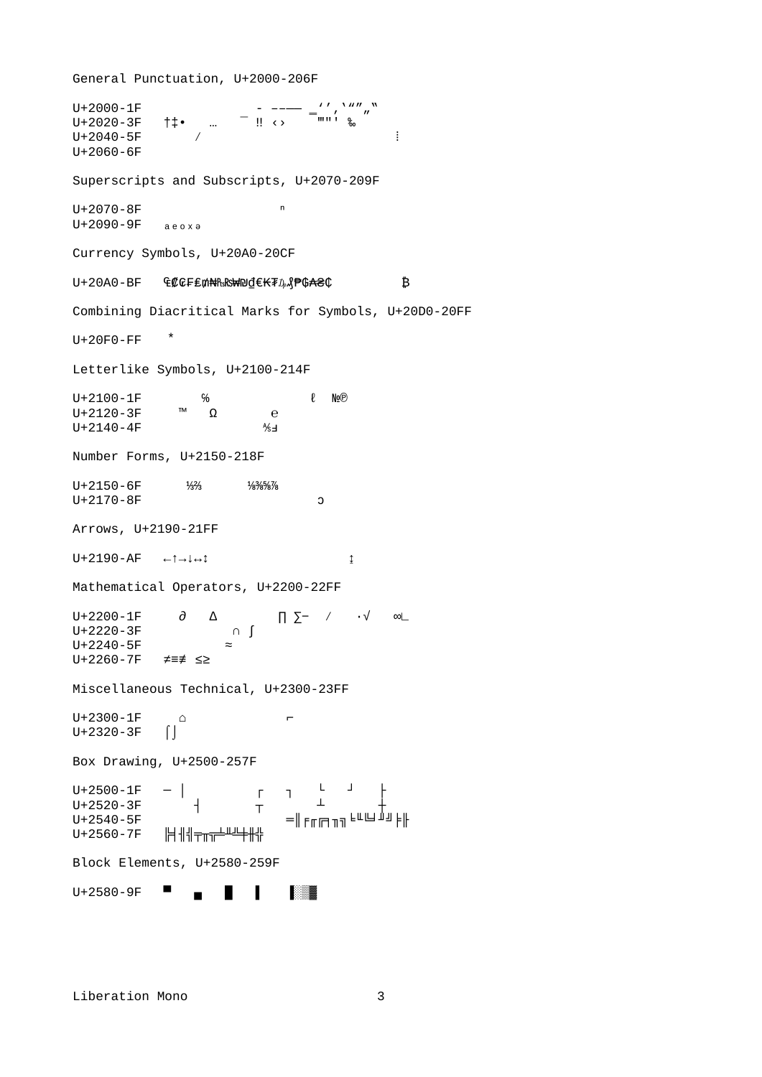U+2000-1F<br>U+2020-3F †‡• ... – !! <> = = = =  $\frac{77}{11}$  ,  $\frac{77}{11}$  w  $\uparrow \uparrow \bullet$  …  $U+2040-5F$  /  $\vdots$ U+2060-6F Superscripts and Subscripts, U+2070-209F  $U+2070-8F$  n  $U+2090-9F$   $a e o x e$ Currency Symbols, U+20A0-20CF U+20A0-BF ₠₡₢₣₤₥₦₧₨₩₪₫€₭₮₯₰₱₲₳₴₵ ₿ Combining Diacritical Marks for Symbols, U+20D0-20FF  $U+20F0-FF$  \* Letterlike Symbols, U+2100-214F U+2100-1F % ℓ №®<br>U+2120-3F ™ Ω e  $U+2120-3F$  ™ Ω e<br> $U+2140-4F$  <sup>™</sup> Ω ‰  $U+2140-4F$ Number Forms, U+2150-218F U+2150-6F ¼⅔ ¼<sub>8</sub>‰‰ U+2170-8F 3 Arrows, U+2190-21FF U+2190-AF ←↑→↓↔↕ ↨ Mathematical Operators, U+2200-22FF U+2200-1F ∂ ∆ ∏ ∑− ∕ ∙√ ∞∟ U+2220-3F U+2240-5F  $\approx$ U+2260-7F ≠≡≢ ≤≥ Miscellaneous Technical, U+2300-23FF  $U+2300-1F$   $\qquad \qquad \circ$  $U+2320-3F$  | Box Drawing, U+2500-257F U+2500-1F ─ │ ┌ ┐ └ ┘ ├ U+2520-3F  $\frac{1}{1}$  +  $\frac{1}{1}$ U+2540-5F ═║╒╓╔╕╖╗╘╙╚╛╜╝╞╟<br>U+2560-7F ╠╡╢╣╤<del>╖╦╧╨╩╪╫╬</del> ╟╡╢╣╤╥╦╧╨╩╪╫╬ Block Elements, U+2580-259F U+2580-9F ■ ▄ ▌ ▎ ▒▓

General Punctuation, U+2000-206F